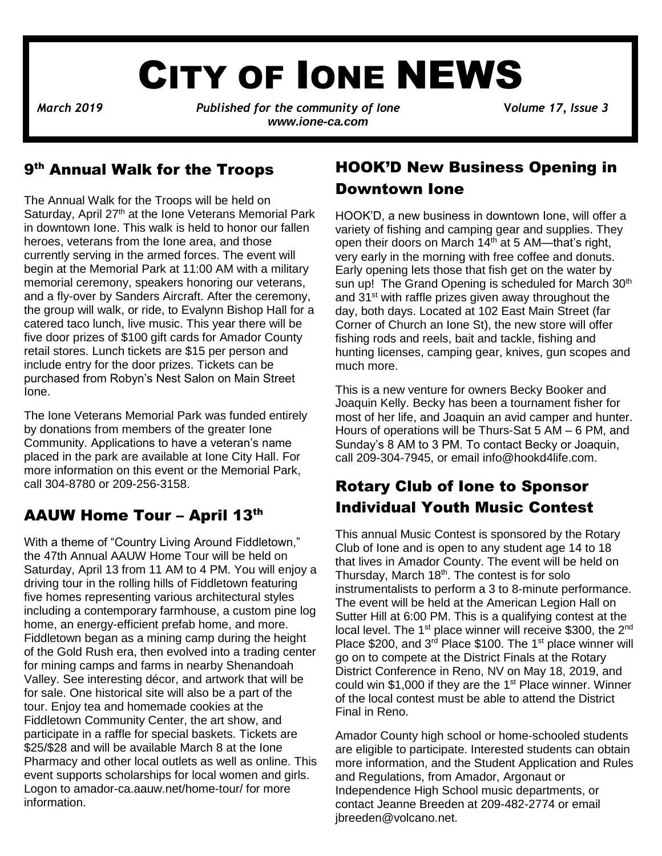# CITY OF IONE NEWS

*March 2019**Published for the community of Ione* **V***olume 17, Issue 3 www.ione-ca.com*

### 9<sup>th</sup> Annual Walk for the Troops

The Annual Walk for the Troops will be held on Saturday, April 27<sup>th</sup> at the Ione Veterans Memorial Park in downtown Ione. This walk is held to honor our fallen heroes, veterans from the Ione area, and those currently serving in the armed forces. The event will begin at the Memorial Park at 11:00 AM with a military memorial ceremony, speakers honoring our veterans, and a fly-over by Sanders Aircraft. After the ceremony, the group will walk, or ride, to Evalynn Bishop Hall for a catered taco lunch, live music. This year there will be five door prizes of \$100 gift cards for Amador County retail stores. Lunch tickets are \$15 per person and include entry for the door prizes. Tickets can be purchased from Robyn's Nest Salon on Main Street Ione.

✓ placed in the park are available at Ione City Hall. For The Ione Veterans Memorial Park was funded entirely by donations from members of the greater Ione Community. Applications to have a veteran's name more information on this event or the Memorial Park, call 304-8780 or 209-256-3158.

### AAUW Home Tour – April 13th

With a theme of "Country Living Around Fiddletown," the 47th Annual AAUW Home Tour will be held on Saturday, April 13 from 11 AM to 4 PM. You will enjoy a driving tour in the rolling hills of Fiddletown featuring five homes representing various architectural styles including a contemporary farmhouse, a custom pine log home, an energy-efficient prefab home, and more. Fiddletown began as a mining camp during the height of the Gold Rush era, then evolved into a trading center for mining camps and farms in nearby Shenandoah Valley. See interesting décor, and artwork that will be for sale. One historical site will also be a part of the tour. Enjoy tea and homemade cookies at the Fiddletown Community Center, the art show, and participate in a raffle for special baskets. Tickets are \$25/\$28 and will be available March 8 at the Ione Pharmacy and other local outlets as well as online. This event supports scholarships for local women and girls. Logon to amador-ca.aauw.net/home-tour/ for more information.

### HOOK'D New Business Opening in Downtown Ione

HOOK'D, a new business in downtown Ione, will offer a variety of fishing and camping gear and supplies. They open their doors on March 14<sup>th</sup> at 5 AM-that's right, very early in the morning with free coffee and donuts. Early opening lets those that fish get on the water by sun up! The Grand Opening is scheduled for March 30<sup>th</sup> and 31<sup>st</sup> with raffle prizes given away throughout the day, both days. Located at 102 East Main Street (far Corner of Church an Ione St), the new store will offer fishing rods and reels, bait and tackle, fishing and hunting licenses, camping gear, knives, gun scopes and much more.

This is a new venture for owners Becky Booker and Joaquin Kelly. Becky has been a tournament fisher for most of her life, and Joaquin an avid camper and hunter. Hours of operations will be Thurs-Sat 5 AM – 6 PM, and Sunday's 8 AM to 3 PM. To contact Becky or Joaquin, call 209-304-7945, or email [info@hookd4life.com.](mailto:info@hookd4life.com)

### Rotary Club of Ione to Sponsor Individual Youth Music Contest

This annual Music Contest is sponsored by the Rotary Club of Ione and is open to any student age 14 to 18 that lives in Amador County. The event will be held on Thursday, March  $18<sup>th</sup>$ . The contest is for solo instrumentalists to perform a 3 to 8-minute performance. The event will be held at the American Legion Hall on Sutter Hill at 6:00 PM. This is a qualifying contest at the local level. The  $1<sup>st</sup>$  place winner will receive \$300, the  $2<sup>nd</sup>$ Place \$200, and 3<sup>rd</sup> Place \$100. The 1<sup>st</sup> place winner will go on to compete at the District Finals at the Rotary District Conference in Reno, NV on May 18, 2019, and could win \$1,000 if they are the 1<sup>st</sup> Place winner. Winner of the local contest must be able to attend the District Final in Reno.

Amador County high school or home-schooled students are eligible to participate. Interested students can obtain more information, and the Student Application and Rules and Regulations, from Amador, Argonaut or Independence High School music departments, or contact Jeanne Breeden at 209-482-2774 or email [jbreeden@volcano.net.](mailto:jbreeden@volcano.net)